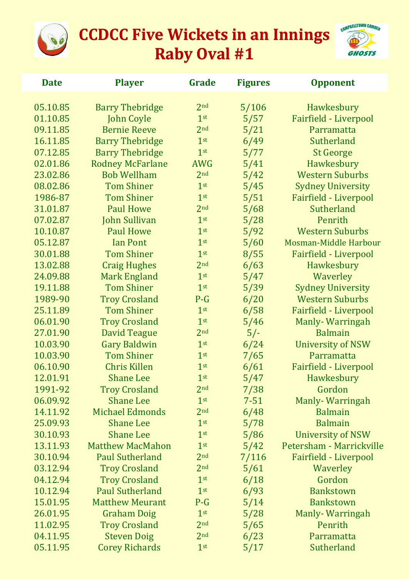



| <b>Date</b> | <b>Player</b>           | Grade           | <b>Figures</b> | <b>Opponent</b>              |  |
|-------------|-------------------------|-----------------|----------------|------------------------------|--|
| 05.10.85    | <b>Barry Thebridge</b>  | 2 <sub>nd</sub> | 5/106          | Hawkesbury                   |  |
| 01.10.85    | <b>John Coyle</b>       | 1 <sup>st</sup> | 5/57           | Fairfield - Liverpool        |  |
| 09.11.85    | <b>Bernie Reeve</b>     | 2 <sub>nd</sub> | 5/21           | Parramatta                   |  |
| 16.11.85    | <b>Barry Thebridge</b>  | 1 <sup>st</sup> | 6/49           | Sutherland                   |  |
| 07.12.85    | <b>Barry Thebridge</b>  | 1 <sup>st</sup> | 5/77           | <b>St George</b>             |  |
| 02.01.86    | <b>Rodney McFarlane</b> | <b>AWG</b>      | 5/41           | Hawkesbury                   |  |
| 23.02.86    | <b>Bob Wellham</b>      | 2 <sub>nd</sub> | 5/42           | <b>Western Suburbs</b>       |  |
| 08.02.86    | <b>Tom Shiner</b>       | 1 <sup>st</sup> | 5/45           | <b>Sydney University</b>     |  |
| 1986-87     | <b>Tom Shiner</b>       | 1 <sup>st</sup> | 5/51           | Fairfield - Liverpool        |  |
| 31.01.87    | <b>Paul Howe</b>        | 2 <sub>nd</sub> | 5/68           | Sutherland                   |  |
| 07.02.87    | <b>John Sullivan</b>    | 1 <sup>st</sup> | 5/28           | Penrith                      |  |
| 10.10.87    | <b>Paul Howe</b>        | 1 <sup>st</sup> | 5/92           | <b>Western Suburbs</b>       |  |
| 05.12.87    | <b>Ian Pont</b>         | 1 <sup>st</sup> | 5/60           | Mosman-Middle Harbour        |  |
| 30.01.88    | <b>Tom Shiner</b>       | 1 <sup>st</sup> | 8/55           | Fairfield - Liverpool        |  |
| 13.02.88    | <b>Craig Hughes</b>     | 2 <sub>nd</sub> | 6/63           | Hawkesbury                   |  |
| 24.09.88    | <b>Mark England</b>     | 1 <sup>st</sup> | 5/47           | Waverley                     |  |
| 19.11.88    | <b>Tom Shiner</b>       | 1 <sup>st</sup> | 5/39           | <b>Sydney University</b>     |  |
| 1989-90     | <b>Troy Crosland</b>    | $P-G$           | 6/20           | <b>Western Suburbs</b>       |  |
| 25.11.89    | <b>Tom Shiner</b>       | 1 <sup>st</sup> | 6/58           | Fairfield - Liverpool        |  |
| 06.01.90    | <b>Troy Crosland</b>    | 1 <sup>st</sup> | 5/46           | Manly-Warringah              |  |
| 27.01.90    | <b>David Teague</b>     | 2 <sub>nd</sub> | $5/-$          | <b>Balmain</b>               |  |
| 10.03.90    | <b>Gary Baldwin</b>     | 1 <sup>st</sup> | 6/24           | <b>University of NSW</b>     |  |
| 10.03.90    | <b>Tom Shiner</b>       | 1 <sup>st</sup> | 7/65           | Parramatta                   |  |
| 06.10.90    | <b>Chris Killen</b>     | 1 <sup>st</sup> | 6/61           | <b>Fairfield - Liverpool</b> |  |
| 12.01.91    | <b>Shane Lee</b>        | 1 <sup>st</sup> | 5/47           | Hawkesbury                   |  |
| 1991-92     | <b>Troy Crosland</b>    | 2 <sub>nd</sub> | 7/38           | Gordon                       |  |
| 06.09.92    | <b>Shane Lee</b>        | 1 <sup>st</sup> | $7 - 51$       | Manly-Warringah              |  |
| 14.11.92    | <b>Michael Edmonds</b>  | 2 <sub>nd</sub> | 6/48           | <b>Balmain</b>               |  |
| 25.09.93    | <b>Shane Lee</b>        | 1 <sup>st</sup> | 5/78           | <b>Balmain</b>               |  |
| 30.10.93    | <b>Shane Lee</b>        | 1 <sup>st</sup> | 5/86           | <b>University of NSW</b>     |  |
| 13.11.93    | <b>Matthew MacMahon</b> | 1 <sup>st</sup> | 5/42           | Petersham - Marrickville     |  |
| 30.10.94    | <b>Paul Sutherland</b>  | 2 <sub>nd</sub> | 7/116          | Fairfield - Liverpool        |  |
| 03.12.94    | <b>Troy Crosland</b>    | 2 <sub>nd</sub> | 5/61           | Waverley                     |  |
| 04.12.94    | <b>Troy Crosland</b>    | 1 <sup>st</sup> | 6/18           | Gordon                       |  |
| 10.12.94    | <b>Paul Sutherland</b>  | 1 <sup>st</sup> | 6/93           | <b>Bankstown</b>             |  |
| 15.01.95    | <b>Matthew Meurant</b>  | $P-G$           | 5/14           | <b>Bankstown</b>             |  |
| 26.01.95    | <b>Graham Doig</b>      | 1 <sup>st</sup> | 5/28           | <b>Manly-Warringah</b>       |  |
| 11.02.95    | <b>Troy Crosland</b>    | 2 <sub>nd</sub> | 5/65           | Penrith                      |  |
| 04.11.95    | <b>Steven Doig</b>      | 2 <sub>nd</sub> | 6/23           | Parramatta                   |  |
| 05.11.95    | <b>Corey Richards</b>   | 1 <sup>st</sup> | 5/17           | <b>Sutherland</b>            |  |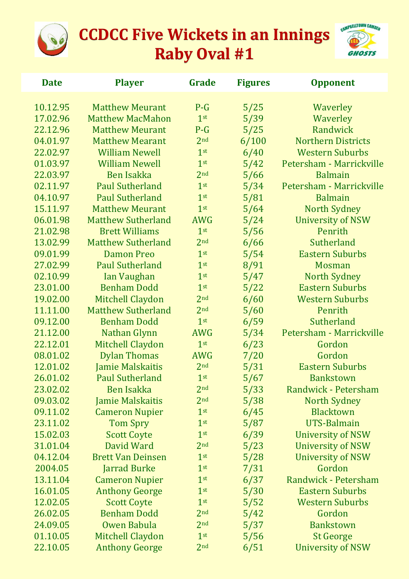



| <b>Date</b> | <b>Player</b>             | Grade           | <b>Figures</b> | <b>Opponent</b>           |
|-------------|---------------------------|-----------------|----------------|---------------------------|
| 10.12.95    | <b>Matthew Meurant</b>    | $P-G$           | 5/25           | Waverley                  |
| 17.02.96    | <b>Matthew MacMahon</b>   | 1 <sup>st</sup> | 5/39           | Waverley                  |
| 22.12.96    | <b>Matthew Meurant</b>    | $P-G$           | 5/25           | Randwick                  |
| 04.01.97    | <b>Matthew Mearant</b>    | 2 <sub>nd</sub> | 6/100          | <b>Northern Districts</b> |
| 22.02.97    | <b>William Newell</b>     | 1 <sup>st</sup> | 6/40           | <b>Western Suburbs</b>    |
| 01.03.97    | <b>William Newell</b>     | 1 <sup>st</sup> | 5/42           | Petersham - Marrickville  |
| 22.03.97    | <b>Ben Isakka</b>         | 2 <sub>nd</sub> | 5/66           | <b>Balmain</b>            |
| 02.11.97    | <b>Paul Sutherland</b>    | 1 <sup>st</sup> | 5/34           | Petersham - Marrickville  |
| 04.10.97    | <b>Paul Sutherland</b>    | 1 <sup>st</sup> | 5/81           | <b>Balmain</b>            |
| 15.11.97    | <b>Matthew Meurant</b>    | 1 <sup>st</sup> | 5/64           | <b>North Sydney</b>       |
| 06.01.98    | <b>Matthew Sutherland</b> | AWG             | 5/24           | <b>University of NSW</b>  |
| 21.02.98    | <b>Brett Williams</b>     | 1 <sup>st</sup> | 5/56           | Penrith                   |
| 13.02.99    | <b>Matthew Sutherland</b> | 2 <sub>nd</sub> | 6/66           | Sutherland                |
| 09.01.99    | <b>Damon Preo</b>         | 1 <sup>st</sup> | 5/54           | <b>Eastern Suburbs</b>    |
| 27.02.99    | <b>Paul Sutherland</b>    | 1 <sup>st</sup> | 8/91           | <b>Mosman</b>             |
| 02.10.99    | Ian Vaughan               | 1 <sup>st</sup> | 5/47           | North Sydney              |
| 23.01.00    | <b>Benham Dodd</b>        | 1 <sup>st</sup> | 5/22           | <b>Eastern Suburbs</b>    |
| 19.02.00    | <b>Mitchell Claydon</b>   | 2 <sub>nd</sub> | 6/60           | <b>Western Suburbs</b>    |
| 11.11.00    | <b>Matthew Sutherland</b> | 2 <sub>nd</sub> | 5/60           | Penrith                   |
| 09.12.00    | <b>Benham Dodd</b>        | 1 <sup>st</sup> | 6/59           | Sutherland                |
| 21.12.00    | Nathan Glynn              | <b>AWG</b>      | 5/34           | Petersham - Marrickville  |
| 22.12.01    | <b>Mitchell Claydon</b>   | 1 <sup>st</sup> | 6/23           | Gordon                    |
| 08.01.02    | <b>Dylan Thomas</b>       | <b>AWG</b>      | 7/20           | Gordon                    |
| 12.01.02    | <b>Jamie Malskaitis</b>   | 2 <sub>nd</sub> | 5/31           | <b>Eastern Suburbs</b>    |
| 26.01.02    | <b>Paul Sutherland</b>    | 1 <sup>st</sup> | 5/67           | <b>Bankstown</b>          |
| 23.02.02    | <b>Ben Isakka</b>         | 2 <sub>nd</sub> | 5/33           | Randwick - Petersham      |
| 09.03.02    | <b>Jamie Malskaitis</b>   | 2 <sub>nd</sub> | 5/38           | North Sydney              |
| 09.11.02    | <b>Cameron Nupier</b>     | 1 <sup>st</sup> | 6/45           | <b>Blacktown</b>          |
| 23.11.02    | <b>Tom Spry</b>           | 1 <sup>st</sup> | 5/87           | <b>UTS-Balmain</b>        |
| 15.02.03    | <b>Scott Coyte</b>        | 1 <sup>st</sup> | 6/39           | <b>University of NSW</b>  |
| 31.01.04    | David Ward                | 2 <sub>nd</sub> | 5/23           | <b>University of NSW</b>  |
| 04.12.04    | <b>Brett Van Deinsen</b>  | 1 <sup>st</sup> | 5/28           | <b>University of NSW</b>  |
| 2004.05     | <b>Jarrad Burke</b>       | 1 <sup>st</sup> | 7/31           | Gordon                    |
| 13.11.04    | <b>Cameron Nupier</b>     | 1 <sup>st</sup> | 6/37           | Randwick - Petersham      |
| 16.01.05    | <b>Anthony George</b>     | 1 <sup>st</sup> | 5/30           | <b>Eastern Suburbs</b>    |
| 12.02.05    | <b>Scott Coyte</b>        | 1 <sup>st</sup> | 5/52           | <b>Western Suburbs</b>    |
| 26.02.05    | <b>Benham Dodd</b>        | 2 <sub>nd</sub> | 5/42           | Gordon                    |
| 24.09.05    | Owen Babula               | 2 <sub>nd</sub> | 5/37           | <b>Bankstown</b>          |
| 01.10.05    | <b>Mitchell Claydon</b>   | 1 <sup>st</sup> | 5/56           | <b>St George</b>          |
| 22.10.05    | <b>Anthony George</b>     | 2 <sub>nd</sub> | 6/51           | <b>University of NSW</b>  |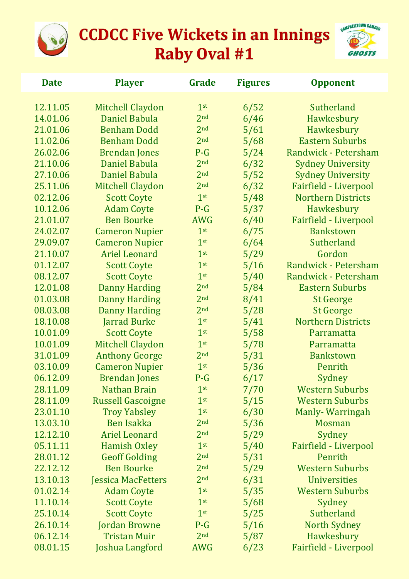



| <b>Date</b> | <b>Player</b>             | Grade           | <b>Figures</b> | <b>Opponent</b>           |
|-------------|---------------------------|-----------------|----------------|---------------------------|
| 12.11.05    | Mitchell Claydon          | 1 <sup>st</sup> | 6/52           | Sutherland                |
| 14.01.06    | Daniel Babula             | 2 <sub>nd</sub> | 6/46           | Hawkesbury                |
| 21.01.06    | <b>Benham Dodd</b>        | 2 <sub>nd</sub> | 5/61           | Hawkesbury                |
| 11.02.06    | <b>Benham Dodd</b>        | 2 <sub>nd</sub> | 5/68           | <b>Eastern Suburbs</b>    |
| 26.02.06    | <b>Brendan Jones</b>      | $P-G$           | 5/24           | Randwick - Petersham      |
| 21.10.06    | Daniel Babula             | 2 <sub>nd</sub> | 6/32           | <b>Sydney University</b>  |
| 27.10.06    | Daniel Babula             | 2 <sub>nd</sub> | 5/52           | <b>Sydney University</b>  |
| 25.11.06    | <b>Mitchell Claydon</b>   | 2 <sub>nd</sub> | 6/32           | Fairfield - Liverpool     |
| 02.12.06    | <b>Scott Coyte</b>        | 1 <sup>st</sup> | 5/48           | <b>Northern Districts</b> |
| 10.12.06    | <b>Adam Coyte</b>         | $P-G$           | 5/37           | Hawkesbury                |
| 21.01.07    | <b>Ben Bourke</b>         | <b>AWG</b>      | 6/40           | Fairfield - Liverpool     |
| 24.02.07    | <b>Cameron Nupier</b>     | 1 <sup>st</sup> | 6/75           | <b>Bankstown</b>          |
| 29.09.07    | <b>Cameron Nupier</b>     | 1 <sup>st</sup> | 6/64           | Sutherland                |
| 21.10.07    | <b>Ariel Leonard</b>      | 1 <sup>st</sup> | 5/29           | Gordon                    |
| 01.12.07    | <b>Scott Coyte</b>        | 1 <sup>st</sup> | 5/16           | Randwick - Petersham      |
| 08.12.07    | <b>Scott Coyte</b>        | 1 <sup>st</sup> | 5/40           | Randwick - Petersham      |
| 12.01.08    | <b>Danny Harding</b>      | 2 <sub>nd</sub> | 5/84           | <b>Eastern Suburbs</b>    |
| 01.03.08    | <b>Danny Harding</b>      | 2 <sub>nd</sub> | 8/41           | <b>St George</b>          |
| 08.03.08    | <b>Danny Harding</b>      | 2 <sub>nd</sub> | 5/28           | <b>St George</b>          |
| 18.10.08    | <b>Jarrad Burke</b>       | 1 <sup>st</sup> | 5/41           | <b>Northern Districts</b> |
| 10.01.09    | <b>Scott Coyte</b>        | 1 <sup>st</sup> | 5/58           | Parramatta                |
| 10.01.09    | Mitchell Claydon          | 1 <sup>st</sup> | 5/78           | Parramatta                |
| 31.01.09    | <b>Anthony George</b>     | 2 <sub>nd</sub> | 5/31           | <b>Bankstown</b>          |
| 03.10.09    | <b>Cameron Nupier</b>     | 1 <sup>st</sup> | 5/36           | Penrith                   |
| 06.12.09    | <b>Brendan Jones</b>      | $P-G$           | 6/17           | Sydney                    |
| 28.11.09    | <b>Nathan Brain</b>       | 1 <sup>st</sup> | 7/70           | <b>Western Suburbs</b>    |
| 28.11.09    | <b>Russell Gascoigne</b>  | 1 <sup>st</sup> | 5/15           | <b>Western Suburbs</b>    |
| 23.01.10    | <b>Troy Yabsley</b>       | 1 <sup>st</sup> | 6/30           | Manly-Warringah           |
| 13.03.10    | <b>Ben Isakka</b>         | 2 <sub>nd</sub> | 5/36           | <b>Mosman</b>             |
| 12.12.10    | <b>Ariel Leonard</b>      | 2 <sub>nd</sub> | 5/29           | Sydney                    |
| 05.11.11    | <b>Hamish Oxley</b>       | 1 <sup>st</sup> | 5/40           | Fairfield - Liverpool     |
| 28.01.12    | <b>Geoff Golding</b>      | 2 <sub>nd</sub> | 5/31           | Penrith                   |
| 22.12.12    | <b>Ben Bourke</b>         | 2 <sub>nd</sub> | 5/29           | <b>Western Suburbs</b>    |
| 13.10.13    | <b>Jessica MacFetters</b> | 2 <sub>nd</sub> | 6/31           | <b>Universities</b>       |
| 01.02.14    | <b>Adam Coyte</b>         | 1 <sup>st</sup> | 5/35           | <b>Western Suburbs</b>    |
| 11.10.14    | <b>Scott Coyte</b>        | 1 <sup>st</sup> | 5/68           | Sydney                    |
| 25.10.14    | <b>Scott Coyte</b>        | 1 <sup>st</sup> | 5/25           | Sutherland                |
| 26.10.14    | <b>Jordan Browne</b>      | $P-G$           | 5/16           | North Sydney              |
| 06.12.14    | <b>Tristan Muir</b>       | 2 <sub>nd</sub> | 5/87           | Hawkesbury                |
| 08.01.15    | Joshua Langford           | <b>AWG</b>      | 6/23           | Fairfield - Liverpool     |